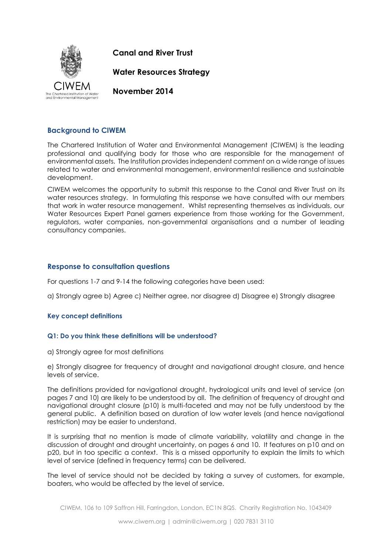

**Canal and River Trust**

**Water Resources Strategy**

**November 2014**

# **Background to CIWEM**

The Chartered Institution of Water and Environmental Management (CIWEM) is the leading professional and qualifying body for those who are responsible for the management of environmental assets. The Institution provides independent comment on a wide range of issues related to water and environmental management, environmental resilience and sustainable development.

CIWEM welcomes the opportunity to submit this response to the Canal and River Trust on its water resources strategy. In formulating this response we have consulted with our members that work in water resource management. Whilst representing themselves as individuals, our Water Resources Expert Panel garners experience from those working for the Government, regulators, water companies, non-governmental organisations and a number of leading consultancy companies.

# **Response to consultation questions**

For questions 1-7 and 9-14 the following categories have been used:

a) Strongly agree b) Agree c) Neither agree, nor disagree d) Disagree e) Strongly disagree

# **Key concept definitions**

# **Q1: Do you think these definitions will be understood?**

a) Strongly agree for most definitions

e) Strongly disagree for frequency of drought and navigational drought closure, and hence levels of service.

The definitions provided for navigational drought, hydrological units and level of service (on pages 7 and 10) are likely to be understood by all. The definition of frequency of drought and navigational drought closure (p10) is multi-faceted and may not be fully understood by the general public. A definition based on duration of low water levels (and hence navigational restriction) may be easier to understand.

It is surprising that no mention is made of climate variability, volatility and change in the discussion of drought and drought uncertainty, on pages 6 and 10. It features on p10 and on p20, but in too specific a context. This is a missed opportunity to explain the limits to which level of service (defined in frequency terms) can be delivered.

The level of service should not be decided by taking a survey of customers, for example, boaters, who would be affected by the level of service.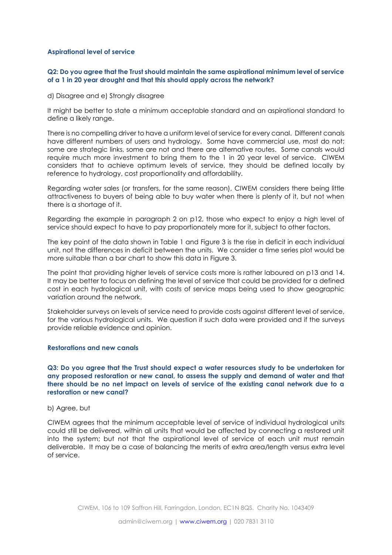### **Aspirational level of service**

# **Q2: Do you agree that the Trust should maintain the same aspirational minimum level of service of a 1 in 20 year drought and that this should apply across the network?**

d) Disagree and e) Strongly disagree

It might be better to state a minimum acceptable standard and an aspirational standard to define a likely range.

There is no compelling driver to have a uniform level of service for every canal. Different canals have different numbers of users and hydrology. Some have commercial use, most do not; some are strategic links, some are not and there are alternative routes. Some canals would require much more investment to bring them to the 1 in 20 year level of service. CIWEM considers that to achieve optimum levels of service, they should be defined locally by reference to hydrology, cost proportionality and affordability.

Regarding water sales (or transfers, for the same reason), CIWEM considers there being little attractiveness to buyers of being able to buy water when there is plenty of it, but not when there is a shortage of it.

Regarding the example in paragraph 2 on p12, those who expect to enjoy a high level of service should expect to have to pay proportionately more for it, subject to other factors.

The key point of the data shown in Table 1 and Figure 3 is the rise in deficit in each individual unit, not the differences in deficit between the units. We consider a time series plot would be more suitable than a bar chart to show this data in Figure 3.

The point that providing higher levels of service costs more is rather laboured on p13 and 14. It may be better to focus on defining the level of service that could be provided for a defined cost in each hydrological unit, with costs of service maps being used to show geographic variation around the network.

Stakeholder surveys on levels of service need to provide costs against different level of service, for the various hydrological units. We question if such data were provided and if the surveys provide reliable evidence and opinion.

#### **Restorations and new canals**

**Q3: Do you agree that the Trust should expect a water resources study to be undertaken for any proposed restoration or new canal, to assess the supply and demand of water and that there should be no net impact on levels of service of the existing canal network due to a restoration or new canal?**

## b) Agree, but

CIWEM agrees that the minimum acceptable level of service of individual hydrological units could still be delivered, within all units that would be affected by connecting a restored unit into the system; but not that the aspirational level of service of each unit must remain deliverable. It may be a case of balancing the merits of extra area/length versus extra level of service.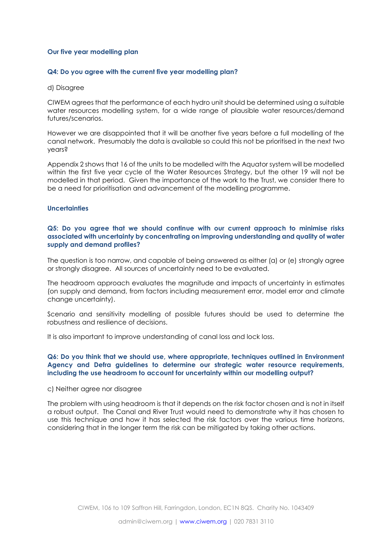#### **Our five year modelling plan**

### **Q4: Do you agree with the current five year modelling plan?**

#### d) Disagree

CIWEM agrees that the performance of each hydro unit should be determined using a suitable water resources modelling system, for a wide range of plausible water resources/demand futures/scenarios.

However we are disappointed that it will be another five years before a full modelling of the canal network. Presumably the data is available so could this not be prioritised in the next two years?

Appendix 2 shows that 16 of the units to be modelled with the Aquator system will be modelled within the first five year cycle of the Water Resources Strategy, but the other 19 will not be modelled in that period. Given the importance of the work to the Trust, we consider there to be a need for prioritisation and advancement of the modelling programme.

#### **Uncertainties**

## **Q5: Do you agree that we should continue with our current approach to minimise risks associated with uncertainty by concentrating on improving understanding and quality of water supply and demand profiles?**

The question is too narrow, and capable of being answered as either (a) or (e) strongly agree or strongly disagree. All sources of uncertainty need to be evaluated.

The headroom approach evaluates the magnitude and impacts of uncertainty in estimates (on supply and demand, from factors including measurement error, model error and climate change uncertainty).

Scenario and sensitivity modelling of possible futures should be used to determine the robustness and resilience of decisions.

It is also important to improve understanding of canal loss and lock loss.

## **Q6: Do you think that we should use, where appropriate, techniques outlined in Environment Agency and Defra guidelines to determine our strategic water resource requirements, including the use headroom to account for uncertainty within our modelling output?**

#### c) Neither agree nor disagree

The problem with using headroom is that it depends on the risk factor chosen and is not in itself a robust output. The Canal and River Trust would need to demonstrate why it has chosen to use this technique and how it has selected the risk factors over the various time horizons, considering that in the longer term the risk can be mitigated by taking other actions.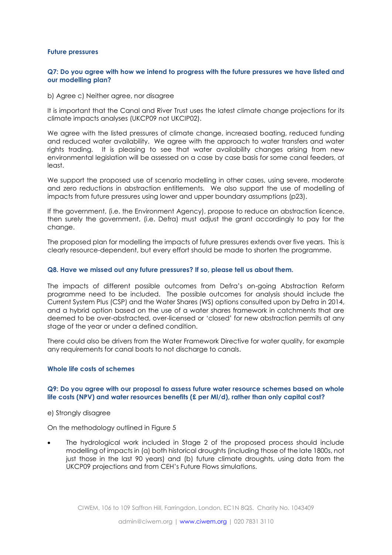#### **Future pressures**

### **Q7: Do you agree with how we intend to progress with the future pressures we have listed and our modelling plan?**

b) Agree c) Neither agree, nor disagree

It is important that the Canal and River Trust uses the latest climate change projections for its climate impacts analyses (UKCP09 not UKCIP02).

We agree with the listed pressures of climate change, increased boating, reduced funding and reduced water availability. We agree with the approach to water transfers and water rights trading. It is pleasing to see that water availability changes arising from new environmental legislation will be assessed on a case by case basis for some canal feeders, at least.

We support the proposed use of scenario modelling in other cases, using severe, moderate and zero reductions in abstraction entitlements. We also support the use of modelling of impacts from future pressures using lower and upper boundary assumptions (p23).

If the government, (i.e. the Environment Agency), propose to reduce an abstraction licence, then surely the government, (i.e. Defra) must adjust the grant accordingly to pay for the change.

The proposed plan for modelling the impacts of future pressures extends over five years. This is clearly resource-dependent, but every effort should be made to shorten the programme.

#### **Q8. Have we missed out any future pressures? If so, please tell us about them.**

The impacts of different possible outcomes from Defra's on-going Abstraction Reform programme need to be included. The possible outcomes for analysis should include the Current System Plus (CSP) and the Water Shares (WS) options consulted upon by Defra in 2014, and a hybrid option based on the use of a water shares framework in catchments that are deemed to be over-abstracted, over-licensed or 'closed' for new abstraction permits at any stage of the year or under a defined condition.

There could also be drivers from the Water Framework Directive for water quality, for example any requirements for canal boats to not discharge to canals.

#### **Whole life costs of schemes**

#### **Q9: Do you agree with our proposal to assess future water resource schemes based on whole life costs (NPV) and water resources benefits (£ per Ml/d), rather than only capital cost?**

e) Strongly disagree

On the methodology outlined in Figure 5

 The hydrological work included in Stage 2 of the proposed process should include modelling of impacts in (a) both historical droughts (including those of the late 1800s, not just those in the last 90 years) and (b) future climate droughts, using data from the UKCP09 projections and from CEH's Future Flows simulations.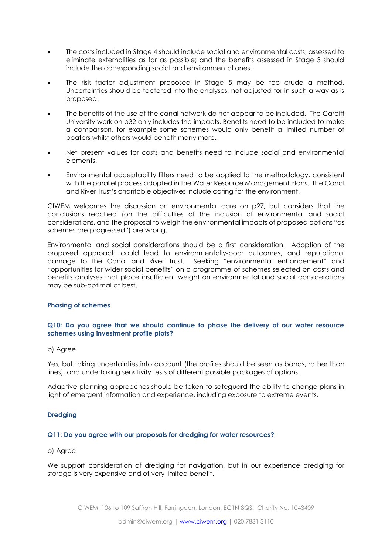- The costs included in Stage 4 should include social and environmental costs, assessed to eliminate externalities as far as possible; and the benefits assessed in Stage 3 should include the corresponding social and environmental ones.
- The risk factor adjustment proposed in Stage 5 may be too crude a method. Uncertainties should be factored into the analyses, not adjusted for in such a way as is proposed.
- The benefits of the use of the canal network do not appear to be included. The Cardiff University work on p32 only includes the impacts. Benefits need to be included to make a comparison, for example some schemes would only benefit a limited number of boaters whilst others would benefit many more.
- Net present values for costs and benefits need to include social and environmental elements.
- Environmental acceptability filters need to be applied to the methodology, consistent with the parallel process adopted in the Water Resource Management Plans. The Canal and River Trust's charitable objectives include caring for the environment.

CIWEM welcomes the discussion on environmental care on p27, but considers that the conclusions reached (on the difficulties of the inclusion of environmental and social considerations, and the proposal to weigh the environmental impacts of proposed options "as schemes are progressed") are wrong.

Environmental and social considerations should be a first consideration. Adoption of the proposed approach could lead to environmentally-poor outcomes, and reputational damage to the Canal and River Trust. Seeking "environmental enhancement" and "opportunities for wider social benefits" on a programme of schemes selected on costs and benefits analyses that place insufficient weight on environmental and social considerations may be sub-optimal at best.

# **Phasing of schemes**

# **Q10: Do you agree that we should continue to phase the delivery of our water resource schemes using investment profile plots?**

# b) Agree

Yes, but taking uncertainties into account (the profiles should be seen as bands, rather than lines), and undertaking sensitivity tests of different possible packages of options.

Adaptive planning approaches should be taken to safeguard the ability to change plans in light of emergent information and experience, including exposure to extreme events.

# **Dredging**

# **Q11: Do you agree with our proposals for dredging for water resources?**

### b) Agree

We support consideration of dredging for navigation, but in our experience dredging for storage is very expensive and of very limited benefit.